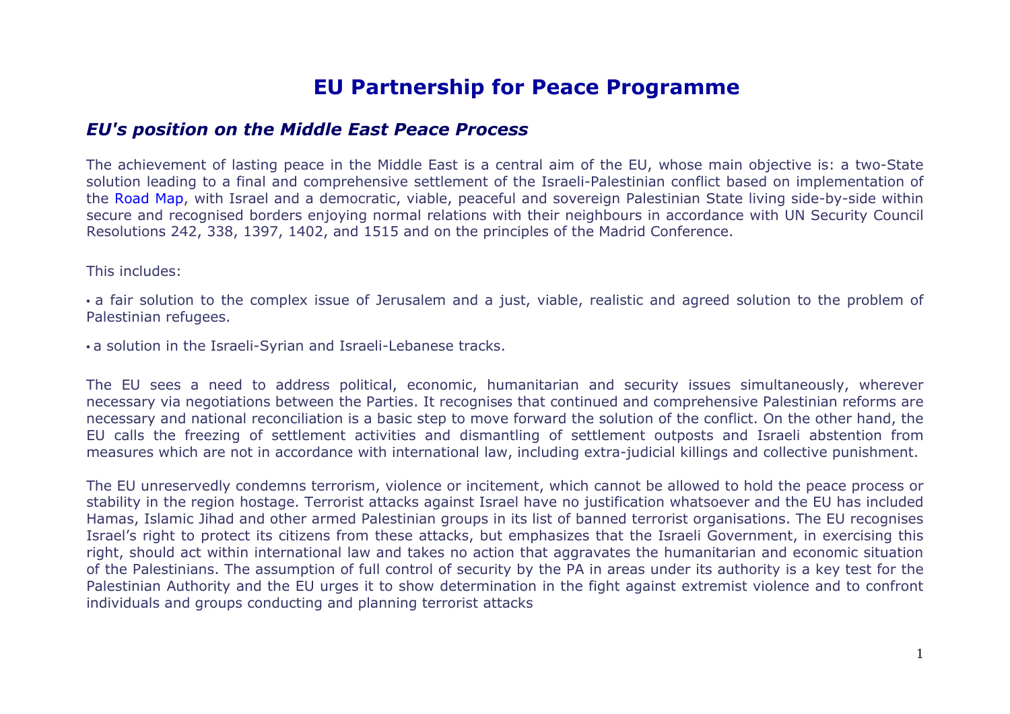# **EU Partnership for Peace Programme**

#### *EU's position on the Middle East Peace Process*

The achievement of lasting peace in the Middle East is a central aim of the EU, whose main objective is: a two-State solution leading to a final and comprehensive settlement of the Israeli-Palestinian conflict based on implementation of the Road Map, with Israel and a democratic, viable, peaceful and sovereign Palestinian State living side-by-side within secure and recognised borders enjoying normal relations with their neighbours in accordance with UN Security Council Resolutions 242, 338, 1397, 1402, and 1515 and on the principles of the Madrid Conference.

This includes:

• a fair solution to the complex issue of Jerusalem and a just, viable, realistic and agreed solution to the problem of Palestinian refugees.

• a solution in the Israeli-Syrian and Israeli-Lebanese tracks.

The EU sees a need to address political, economic, humanitarian and security issues simultaneously, wherever necessary via negotiations between the Parties. It recognises that continued and comprehensive Palestinian reforms are necessary and national reconciliation is a basic step to move forward the solution of the conflict. On the other hand, the EU calls the freezing of settlement activities and dismantling of settlement outposts and Israeli abstention from measures which are not in accordance with international law, including extra-judicial killings and collective punishment.

The EU unreservedly condemns terrorism, violence or incitement, which cannot be allowed to hold the peace process or stability in the region hostage. Terrorist attacks against Israel have no justification whatsoever and the EU has included Hamas, Islamic Jihad and other armed Palestinian groups in its list of banned terrorist organisations. The EU recognises Israel's right to protect its citizens from these attacks, but emphasizes that the Israeli Government, in exercising this right, should act within international law and takes no action that aggravates the humanitarian and economic situation of the Palestinians. The assumption of full control of security by the PA in areas under its authority is a key test for the Palestinian Authority and the EU urges it to show determination in the fight against extremist violence and to confront individuals and groups conducting and planning terrorist attacks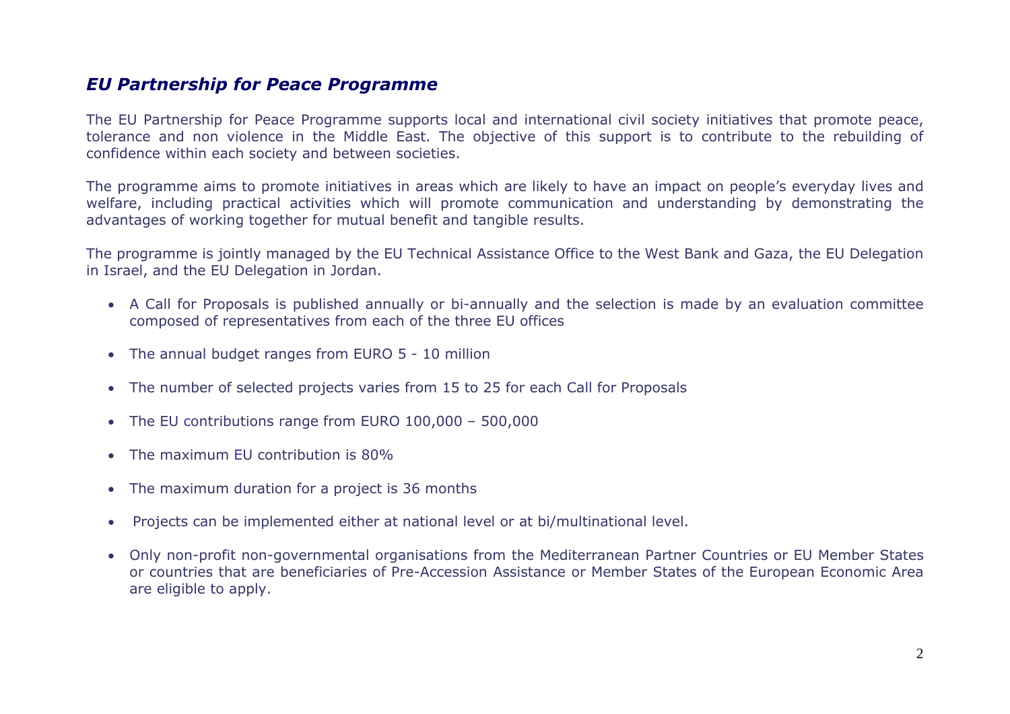### *EU Partnership for Peace Programme*

The EU Partnership for Peace Programme supports local and international civil society initiatives that promote peace, tolerance and non violence in the Middle East. The objective of this support is to contribute to the rebuilding of confidence within each society and between societies.

The programme aims to promote initiatives in areas which are likely to have an impact on people's everyday lives and welfare, including practical activities which will promote communication and understanding by demonstrating the advantages of working together for mutual benefit and tangible results.

The programme is jointly managed by the EU Technical Assistance Office to the West Bank and Gaza, the EU Delegation in Israel, and the EU Delegation in Jordan.

- A Call for Proposals is published annually or bi-annually and the selection is made by an evaluation committee composed of representatives from each of the three EU offices
- The annual budget ranges from EURO 5 10 million
- The number of selected projects varies from 15 to 25 for each Call for Proposals
- The EU contributions range from EURO 100,000 500,000
- The maximum EU contribution is 80%
- The maximum duration for a project is 36 months
- •Projects can be implemented either at national level or at bi/multinational level.
- Only non-profit non-governmental organisations from the Mediterranean Partner Countries or EU Member States or countries that are beneficiaries of Pre-Accession Assistance or Member States of the European Economic Area are eligible to apply.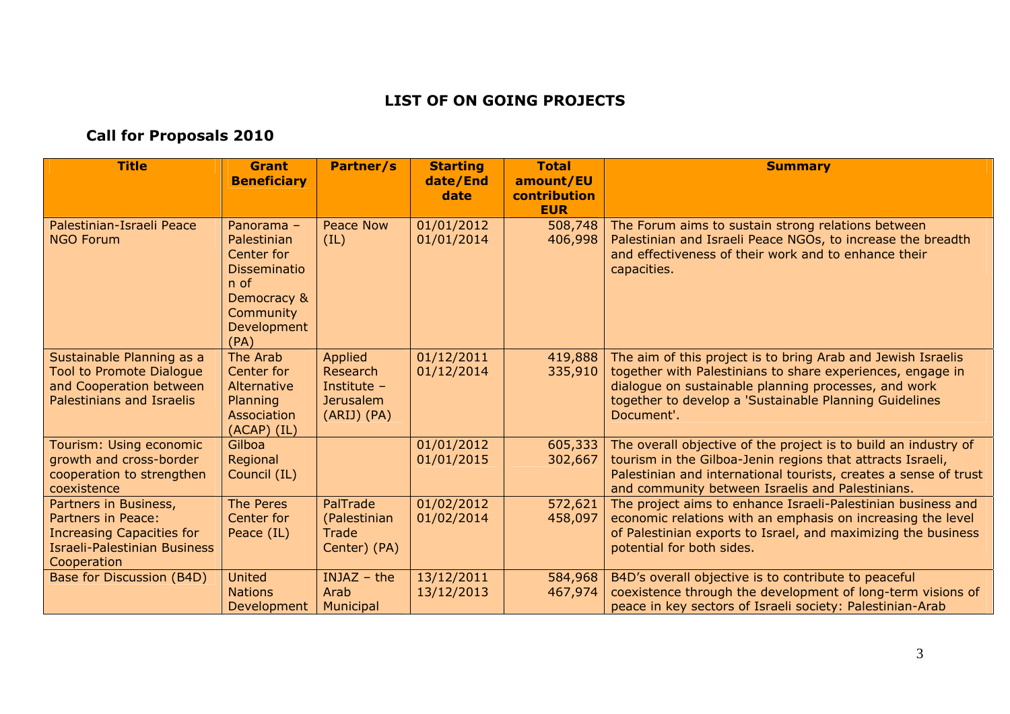#### **LIST OF ON GOING PROJECTS**

## **Call for Proposals 2010**

| <b>Title</b>                                                                                                                          | <b>Grant</b><br><b>Beneficiary</b>                                                                                          | Partner/s                                                             | <b>Starting</b><br>date/End<br>date | <b>Total</b><br>amount/EU<br>contribution | <b>Summary</b>                                                                                                                                                                                                                                             |
|---------------------------------------------------------------------------------------------------------------------------------------|-----------------------------------------------------------------------------------------------------------------------------|-----------------------------------------------------------------------|-------------------------------------|-------------------------------------------|------------------------------------------------------------------------------------------------------------------------------------------------------------------------------------------------------------------------------------------------------------|
| Palestinian-Israeli Peace<br><b>NGO Forum</b>                                                                                         | Panorama -<br>Palestinian<br>Center for<br><b>Disseminatio</b><br>$n$ of<br>Democracy &<br>Community<br>Development<br>(PA) | <b>Peace Now</b><br>(IL)                                              | 01/01/2012<br>01/01/2014            | <b>EUR</b><br>508,748<br>406,998          | The Forum aims to sustain strong relations between<br>Palestinian and Israeli Peace NGOs, to increase the breadth<br>and effectiveness of their work and to enhance their<br>capacities.                                                                   |
| Sustainable Planning as a<br><b>Tool to Promote Dialogue</b><br>and Cooperation between<br>Palestinians and Israelis                  | The Arab<br>Center for<br>Alternative<br>Planning<br>Association<br>$(ACAP)$ $(IL)$                                         | Applied<br>Research<br>Institute -<br><b>Jerusalem</b><br>(ARIJ) (PA) | 01/12/2011<br>01/12/2014            | 419,888<br>335,910                        | The aim of this project is to bring Arab and Jewish Israelis<br>together with Palestinians to share experiences, engage in<br>dialogue on sustainable planning processes, and work<br>together to develop a 'Sustainable Planning Guidelines<br>Document'. |
| Tourism: Using economic<br>growth and cross-border<br>cooperation to strengthen<br>coexistence                                        | Gilboa<br>Regional<br>Council (IL)                                                                                          |                                                                       | 01/01/2012<br>01/01/2015            | 605,333<br>302,667                        | The overall objective of the project is to build an industry of<br>tourism in the Gilboa-Jenin regions that attracts Israeli,<br>Palestinian and international tourists, creates a sense of trust<br>and community between Israelis and Palestinians.      |
| Partners in Business,<br>Partners in Peace:<br><b>Increasing Capacities for</b><br><b>Israeli-Palestinian Business</b><br>Cooperation | The Peres<br>Center for<br>Peace (IL)                                                                                       | PalTrade<br>(Palestinian<br>Trade<br>Center) (PA)                     | 01/02/2012<br>01/02/2014            | 572,621<br>458,097                        | The project aims to enhance Israeli-Palestinian business and<br>economic relations with an emphasis on increasing the level<br>of Palestinian exports to Israel, and maximizing the business<br>potential for both sides.                                  |
| Base for Discussion (B4D)                                                                                                             | <b>United</b><br><b>Nations</b><br><b>Development</b>                                                                       | $INJAZ - the$<br>Arab<br>Municipal                                    | 13/12/2011<br>13/12/2013            | 584,968<br>467,974                        | B4D's overall objective is to contribute to peaceful<br>coexistence through the development of long-term visions of<br>peace in key sectors of Israeli society: Palestinian-Arab                                                                           |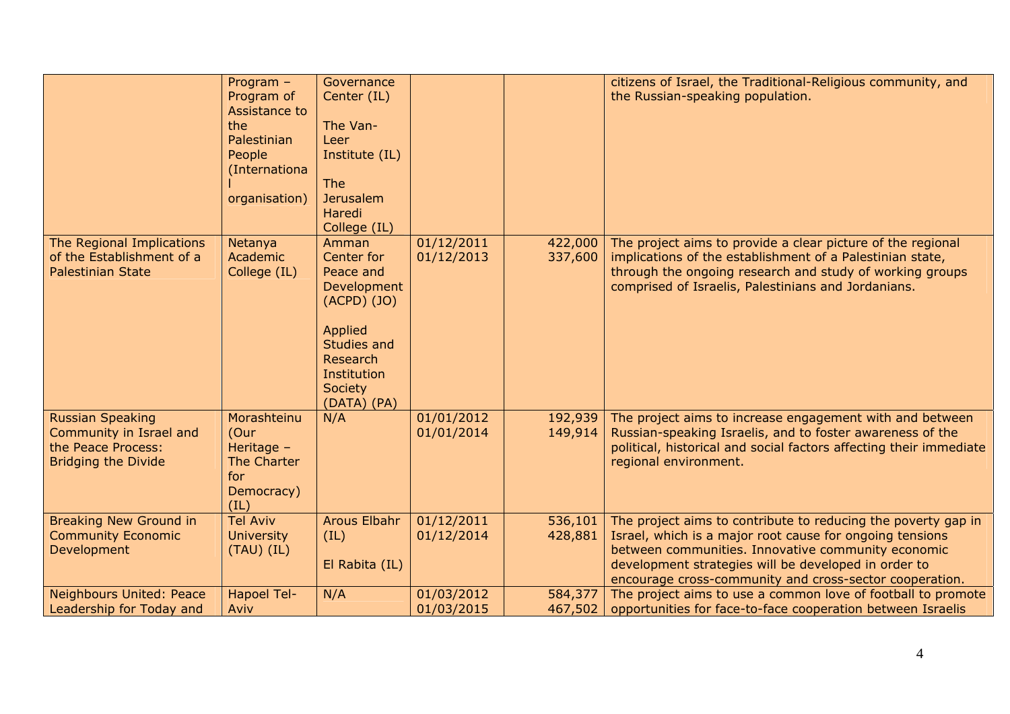|                                                                                                        | Program -<br>Program of<br>Assistance to                                      | Governance<br>Center (IL)                                                                                                             |                          |                    | citizens of Israel, the Traditional-Religious community, and<br>the Russian-speaking population.                                                                                                                                            |
|--------------------------------------------------------------------------------------------------------|-------------------------------------------------------------------------------|---------------------------------------------------------------------------------------------------------------------------------------|--------------------------|--------------------|---------------------------------------------------------------------------------------------------------------------------------------------------------------------------------------------------------------------------------------------|
|                                                                                                        | the                                                                           | The Van-                                                                                                                              |                          |                    |                                                                                                                                                                                                                                             |
|                                                                                                        | Palestinian                                                                   | Leer                                                                                                                                  |                          |                    |                                                                                                                                                                                                                                             |
|                                                                                                        | People                                                                        | Institute (IL)                                                                                                                        |                          |                    |                                                                                                                                                                                                                                             |
|                                                                                                        | (Internationa                                                                 |                                                                                                                                       |                          |                    |                                                                                                                                                                                                                                             |
|                                                                                                        |                                                                               | <b>The</b>                                                                                                                            |                          |                    |                                                                                                                                                                                                                                             |
|                                                                                                        | organisation)                                                                 | <b>Jerusalem</b>                                                                                                                      |                          |                    |                                                                                                                                                                                                                                             |
|                                                                                                        |                                                                               | Haredi                                                                                                                                |                          |                    |                                                                                                                                                                                                                                             |
|                                                                                                        |                                                                               | College (IL)                                                                                                                          |                          |                    |                                                                                                                                                                                                                                             |
| The Regional Implications<br>of the Establishment of a<br><b>Palestinian State</b>                     | Netanya<br>Academic<br>College (IL)                                           | Amman<br>Center for<br>Peace and<br>Development<br>(ACPD) (JO)<br><b>Applied</b><br>Studies and<br>Research<br>Institution<br>Society | 01/12/2011<br>01/12/2013 | 422,000<br>337,600 | The project aims to provide a clear picture of the regional<br>implications of the establishment of a Palestinian state,<br>through the ongoing research and study of working groups<br>comprised of Israelis, Palestinians and Jordanians. |
|                                                                                                        |                                                                               | (DATA) (PA)                                                                                                                           |                          |                    |                                                                                                                                                                                                                                             |
| <b>Russian Speaking</b><br>Community in Israel and<br>the Peace Process:<br><b>Bridging the Divide</b> | Morashteinu<br>(Our<br>Heritage -<br>The Charter<br>for<br>Democracy)<br>(IL) | N/A                                                                                                                                   | 01/01/2012<br>01/01/2014 | 192,939<br>149,914 | The project aims to increase engagement with and between<br>Russian-speaking Israelis, and to foster awareness of the<br>political, historical and social factors affecting their immediate<br>regional environment.                        |
| <b>Breaking New Ground in</b>                                                                          | <b>Tel Aviv</b>                                                               | <b>Arous Elbahr</b>                                                                                                                   | 01/12/2011               | 536,101            | The project aims to contribute to reducing the poverty gap in                                                                                                                                                                               |
| <b>Community Economic</b>                                                                              | <b>University</b>                                                             | (IL)                                                                                                                                  | 01/12/2014               | 428,881            | Israel, which is a major root cause for ongoing tensions                                                                                                                                                                                    |
| Development                                                                                            | $(TAU)$ (IL)                                                                  |                                                                                                                                       |                          |                    | between communities. Innovative community economic                                                                                                                                                                                          |
|                                                                                                        |                                                                               | El Rabita (IL)                                                                                                                        |                          |                    | development strategies will be developed in order to                                                                                                                                                                                        |
|                                                                                                        |                                                                               |                                                                                                                                       |                          |                    | encourage cross-community and cross-sector cooperation.                                                                                                                                                                                     |
| <b>Neighbours United: Peace</b>                                                                        | <b>Hapoel Tel-</b>                                                            | N/A                                                                                                                                   | 01/03/2012               | 584,377            | The project aims to use a common love of football to promote                                                                                                                                                                                |
| Leadership for Today and                                                                               | Aviv                                                                          |                                                                                                                                       | 01/03/2015               | 467,502            | opportunities for face-to-face cooperation between Israelis                                                                                                                                                                                 |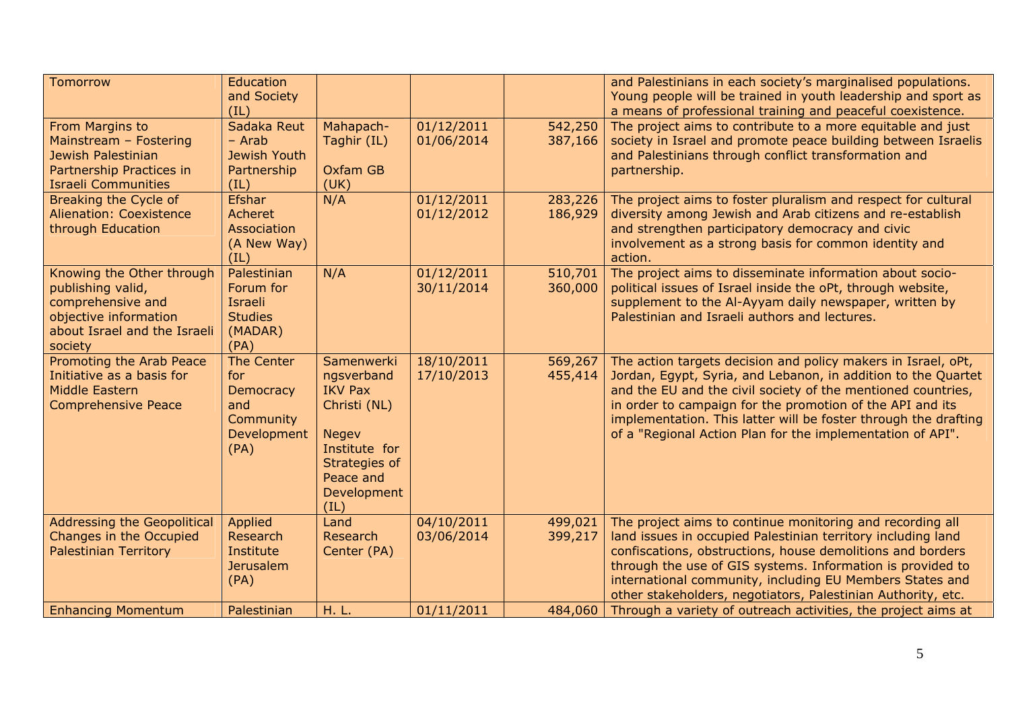| <b>Tomorrow</b>                                                                                                                         | Education<br>and Society<br>(IL)                                          |                                                                                                                                                  |                          |                    | and Palestinians in each society's marginalised populations.<br>Young people will be trained in youth leadership and sport as<br>a means of professional training and peaceful coexistence.                                                                                                                                                                                                  |
|-----------------------------------------------------------------------------------------------------------------------------------------|---------------------------------------------------------------------------|--------------------------------------------------------------------------------------------------------------------------------------------------|--------------------------|--------------------|----------------------------------------------------------------------------------------------------------------------------------------------------------------------------------------------------------------------------------------------------------------------------------------------------------------------------------------------------------------------------------------------|
| From Margins to<br>Mainstream - Fostering<br>Jewish Palestinian<br>Partnership Practices in<br><b>Israeli Communities</b>               | Sadaka Reut<br>- Arab<br><b>Jewish Youth</b><br>Partnership<br>(IL)       | Mahapach-<br>Taghir (IL)<br>Oxfam GB<br>(UK)                                                                                                     | 01/12/2011<br>01/06/2014 | 542,250<br>387,166 | The project aims to contribute to a more equitable and just<br>society in Israel and promote peace building between Israelis<br>and Palestinians through conflict transformation and<br>partnership.                                                                                                                                                                                         |
| Breaking the Cycle of<br><b>Alienation: Coexistence</b><br>through Education                                                            | <b>Efshar</b><br>Acheret<br>Association<br>(A New Way)<br>(IL)            | N/A                                                                                                                                              | 01/12/2011<br>01/12/2012 | 283,226<br>186,929 | The project aims to foster pluralism and respect for cultural<br>diversity among Jewish and Arab citizens and re-establish<br>and strengthen participatory democracy and civic<br>involvement as a strong basis for common identity and<br>action.                                                                                                                                           |
| Knowing the Other through<br>publishing valid,<br>comprehensive and<br>objective information<br>about Israel and the Israeli<br>society | Palestinian<br>Forum for<br>Israeli<br><b>Studies</b><br>(MADAR)<br>(PA)  | N/A                                                                                                                                              | 01/12/2011<br>30/11/2014 | 510,701<br>360,000 | The project aims to disseminate information about socio-<br>political issues of Israel inside the oPt, through website,<br>supplement to the Al-Ayyam daily newspaper, written by<br>Palestinian and Israeli authors and lectures.                                                                                                                                                           |
| Promoting the Arab Peace<br>Initiative as a basis for<br><b>Middle Eastern</b><br><b>Comprehensive Peace</b>                            | The Center<br>for<br>Democracy<br>and<br>Community<br>Development<br>(PA) | Samenwerki<br>ngsverband<br><b>IKV Pax</b><br>Christi (NL)<br><b>Negev</b><br>Institute for<br>Strategies of<br>Peace and<br>Development<br>(IL) | 18/10/2011<br>17/10/2013 | 569,267<br>455,414 | The action targets decision and policy makers in Israel, oPt,<br>Jordan, Egypt, Syria, and Lebanon, in addition to the Quartet<br>and the EU and the civil society of the mentioned countries,<br>in order to campaign for the promotion of the API and its<br>implementation. This latter will be foster through the drafting<br>of a "Regional Action Plan for the implementation of API". |
| <b>Addressing the Geopolitical</b><br>Changes in the Occupied<br><b>Palestinian Territory</b>                                           | Applied<br>Research<br>Institute<br><b>Jerusalem</b><br>(PA)              | Land<br>Research<br>Center (PA)                                                                                                                  | 04/10/2011<br>03/06/2014 | 499,021<br>399,217 | The project aims to continue monitoring and recording all<br>land issues in occupied Palestinian territory including land<br>confiscations, obstructions, house demolitions and borders<br>through the use of GIS systems. Information is provided to<br>international community, including EU Members States and<br>other stakeholders, negotiators, Palestinian Authority, etc.            |
| <b>Enhancing Momentum</b>                                                                                                               | Palestinian                                                               | H. L.                                                                                                                                            | 01/11/2011               | 484,060            | Through a variety of outreach activities, the project aims at                                                                                                                                                                                                                                                                                                                                |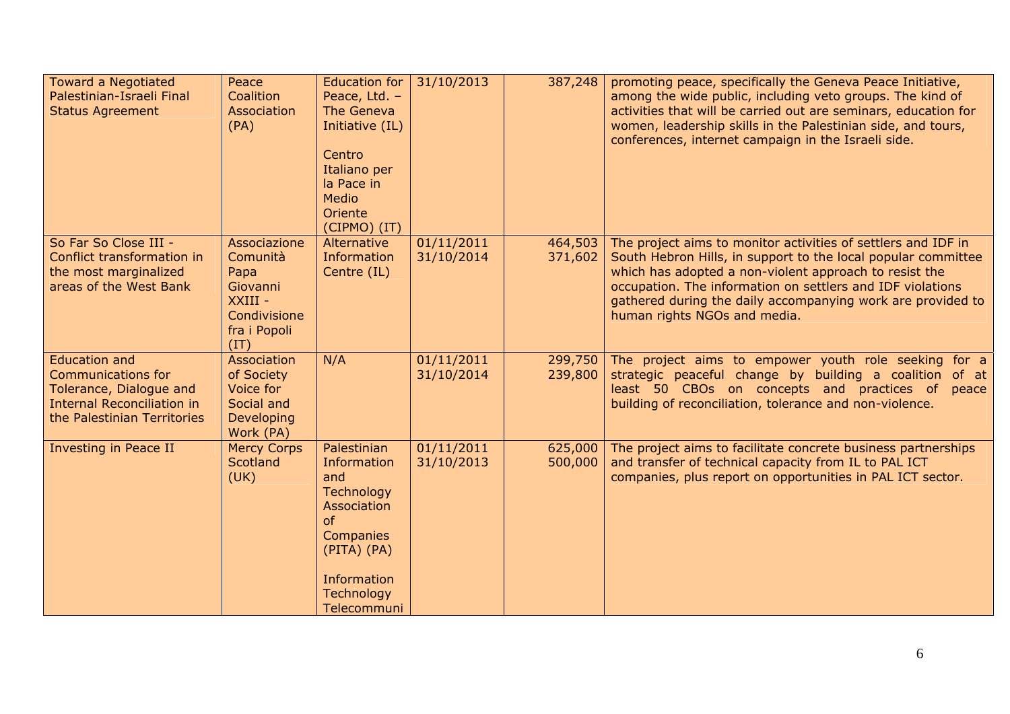| <b>Toward a Negotiated</b><br>Palestinian-Israeli Final<br><b>Status Agreement</b>                                                               | Peace<br>Coalition<br>Association<br>(PA)                                                       | <b>Education for</b><br>Peace, Ltd. -<br>The Geneva<br>Initiative (IL)<br>Centro<br>Italiano per<br>la Pace in<br><b>Medio</b><br>Oriente<br>(CIPMO) (IT) | 31/10/2013               | 387,248            | promoting peace, specifically the Geneva Peace Initiative,<br>among the wide public, including veto groups. The kind of<br>activities that will be carried out are seminars, education for<br>women, leadership skills in the Palestinian side, and tours,<br>conferences, internet campaign in the Israeli side.                                     |
|--------------------------------------------------------------------------------------------------------------------------------------------------|-------------------------------------------------------------------------------------------------|-----------------------------------------------------------------------------------------------------------------------------------------------------------|--------------------------|--------------------|-------------------------------------------------------------------------------------------------------------------------------------------------------------------------------------------------------------------------------------------------------------------------------------------------------------------------------------------------------|
| So Far So Close III -<br>Conflict transformation in<br>the most marginalized<br>areas of the West Bank                                           | Associazione<br>Comunità<br>Papa<br>Giovanni<br>XXIII -<br>Condivisione<br>fra i Popoli<br>(TT) | Alternative<br>Information<br>Centre (IL)                                                                                                                 | 01/11/2011<br>31/10/2014 | 464,503<br>371,602 | The project aims to monitor activities of settlers and IDF in<br>South Hebron Hills, in support to the local popular committee<br>which has adopted a non-violent approach to resist the<br>occupation. The information on settlers and IDF violations<br>gathered during the daily accompanying work are provided to<br>human rights NGOs and media. |
| <b>Education and</b><br><b>Communications for</b><br>Tolerance, Dialogue and<br><b>Internal Reconciliation in</b><br>the Palestinian Territories | Association<br>of Society<br>Voice for<br>Social and<br>Developing<br>Work (PA)                 | N/A                                                                                                                                                       | 01/11/2011<br>31/10/2014 | 299,750<br>239,800 | The project aims to empower youth role seeking for a<br>strategic peaceful change by building a coalition of at<br>least 50 CBOs on concepts and practices of peace<br>building of reconciliation, tolerance and non-violence.                                                                                                                        |
| <b>Investing in Peace II</b>                                                                                                                     | <b>Mercy Corps</b><br><b>Scotland</b><br>(UK)                                                   | Palestinian<br>Information<br>and<br>Technology<br>Association<br>of<br>Companies<br>(PITA) (PA)<br>Information<br>Technology<br>Telecommuni              | 01/11/2011<br>31/10/2013 | 625,000<br>500,000 | The project aims to facilitate concrete business partnerships<br>and transfer of technical capacity from IL to PAL ICT<br>companies, plus report on opportunities in PAL ICT sector.                                                                                                                                                                  |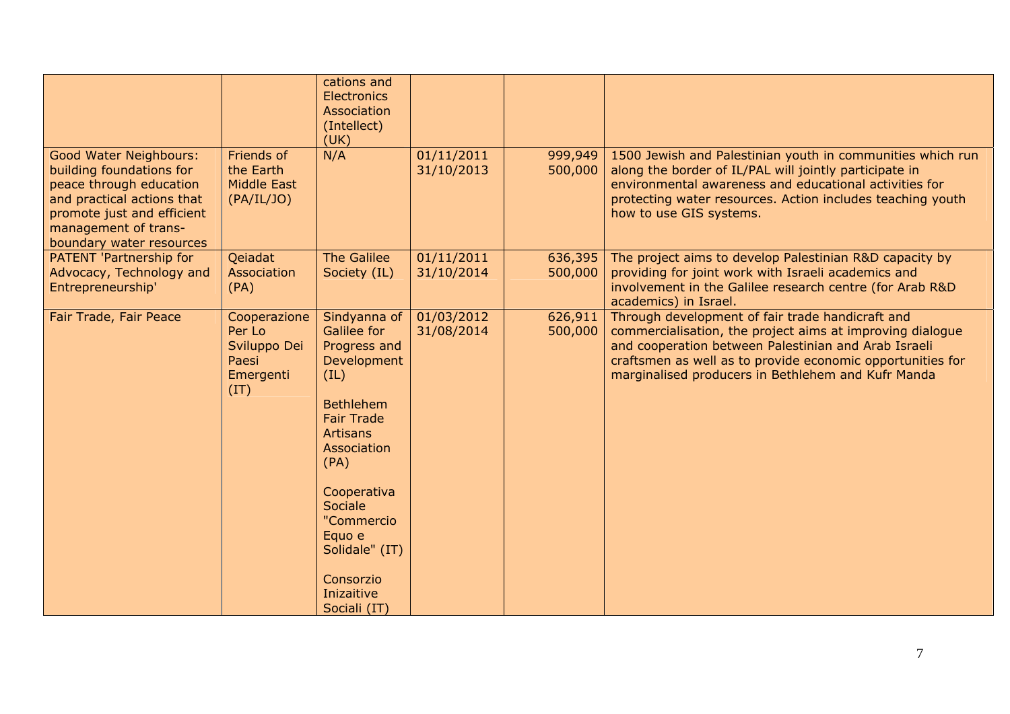|                                                                                                                                                                                                      |                                                                      | cations and<br>Electronics<br>Association<br>(Intellect)<br>(UK)                                                                                                                                                                                                     |                          |                    |                                                                                                                                                                                                                                                                                           |
|------------------------------------------------------------------------------------------------------------------------------------------------------------------------------------------------------|----------------------------------------------------------------------|----------------------------------------------------------------------------------------------------------------------------------------------------------------------------------------------------------------------------------------------------------------------|--------------------------|--------------------|-------------------------------------------------------------------------------------------------------------------------------------------------------------------------------------------------------------------------------------------------------------------------------------------|
| <b>Good Water Neighbours:</b><br>building foundations for<br>peace through education<br>and practical actions that<br>promote just and efficient<br>management of trans-<br>boundary water resources | Friends of<br>the Earth<br>Middle East<br>(PA/IL/JO)                 | N/A                                                                                                                                                                                                                                                                  | 01/11/2011<br>31/10/2013 | 999,949<br>500,000 | 1500 Jewish and Palestinian youth in communities which run<br>along the border of IL/PAL will jointly participate in<br>environmental awareness and educational activities for<br>protecting water resources. Action includes teaching youth<br>how to use GIS systems.                   |
| PATENT 'Partnership for<br>Advocacy, Technology and<br>Entrepreneurship'                                                                                                                             | Qeiadat<br>Association<br>(PA)                                       | <b>The Galilee</b><br>Society (IL)                                                                                                                                                                                                                                   | 01/11/2011<br>31/10/2014 | 636,395<br>500,000 | The project aims to develop Palestinian R&D capacity by<br>providing for joint work with Israeli academics and<br>involvement in the Galilee research centre (for Arab R&D<br>academics) in Israel.                                                                                       |
| Fair Trade, Fair Peace                                                                                                                                                                               | Cooperazione<br>Per Lo<br>Sviluppo Dei<br>Paesi<br>Emergenti<br>(IT) | Sindyanna of<br>Galilee for<br>Progress and<br>Development<br>(IL)<br><b>Bethlehem</b><br><b>Fair Trade</b><br><b>Artisans</b><br>Association<br>(PA)<br>Cooperativa<br>Sociale<br>"Commercio<br>Equo e<br>Solidale" (IT)<br>Consorzio<br>Inizaitive<br>Sociali (IT) | 01/03/2012<br>31/08/2014 | 626,911<br>500,000 | Through development of fair trade handicraft and<br>commercialisation, the project aims at improving dialogue<br>and cooperation between Palestinian and Arab Israeli<br>craftsmen as well as to provide economic opportunities for<br>marginalised producers in Bethlehem and Kufr Manda |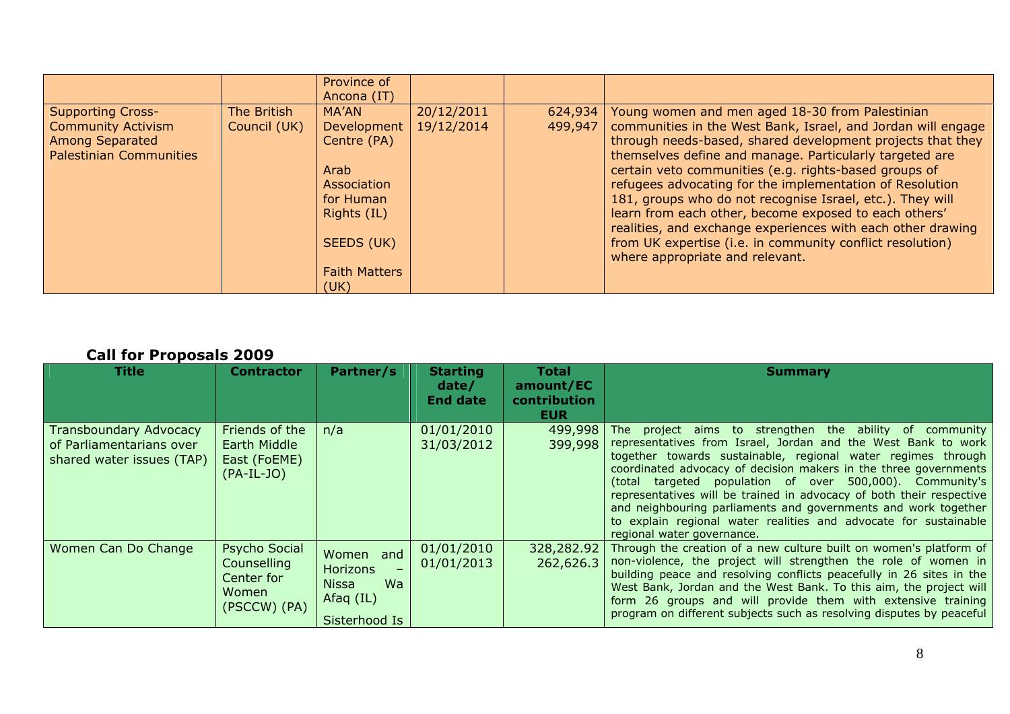|                                |              | Province of<br>Ancona (IT) |            |         |                                                              |
|--------------------------------|--------------|----------------------------|------------|---------|--------------------------------------------------------------|
| <b>Supporting Cross-</b>       | The British  | MA'AN                      | 20/12/2011 | 624,934 | Young women and men aged 18-30 from Palestinian              |
| <b>Community Activism</b>      | Council (UK) | Development                | 19/12/2014 | 499,947 | communities in the West Bank, Israel, and Jordan will engage |
| <b>Among Separated</b>         |              | Centre (PA)                |            |         | through needs-based, shared development projects that they   |
| <b>Palestinian Communities</b> |              |                            |            |         | themselves define and manage. Particularly targeted are      |
|                                |              | Arab                       |            |         | certain veto communities (e.g. rights-based groups of        |
|                                |              | Association                |            |         | refugees advocating for the implementation of Resolution     |
|                                |              | for Human                  |            |         | 181, groups who do not recognise Israel, etc.). They will    |
|                                |              | Rights (IL)                |            |         | learn from each other, become exposed to each others'        |
|                                |              |                            |            |         | realities, and exchange experiences with each other drawing  |
|                                |              | SEEDS (UK)                 |            |         | from UK expertise (i.e. in community conflict resolution)    |
|                                |              |                            |            |         | where appropriate and relevant.                              |
|                                |              | <b>Faith Matters</b>       |            |         |                                                              |
|                                |              | (UK)                       |            |         |                                                              |

#### **Call for Proposals 2009**

| <b>Title</b>                                                                           | <b>Contractor</b>                                                   | Partner/s                                                                                 | <b>Starting</b><br>date/<br><b>End date</b> | <b>Total</b><br>amount/EC<br>contribution<br><b>EUR</b> | <b>Summary</b>                                                                                                                                                                                                                                                                                                                                                                                                                                                                                                                                                       |
|----------------------------------------------------------------------------------------|---------------------------------------------------------------------|-------------------------------------------------------------------------------------------|---------------------------------------------|---------------------------------------------------------|----------------------------------------------------------------------------------------------------------------------------------------------------------------------------------------------------------------------------------------------------------------------------------------------------------------------------------------------------------------------------------------------------------------------------------------------------------------------------------------------------------------------------------------------------------------------|
| <b>Transboundary Advocacy</b><br>of Parliamentarians over<br>shared water issues (TAP) | Friends of the<br>Earth Middle<br>East (FoEME)<br>$(PA-IL-JO)$      | n/a                                                                                       | 01/01/2010<br>31/03/2012                    | 499,998<br>399,998                                      | The project aims to strengthen the ability of community<br>representatives from Israel, Jordan and the West Bank to work<br>together towards sustainable, regional water regimes through<br>coordinated advocacy of decision makers in the three governments<br>(total targeted population of over 500,000). Community's<br>representatives will be trained in advocacy of both their respective<br>and neighbouring parliaments and governments and work together<br>to explain regional water realities and advocate for sustainable<br>regional water governance. |
| Women Can Do Change                                                                    | Psycho Social<br>Counselling<br>Center for<br>Women<br>(PSCCW) (PA) | Women and<br><b>Horizons</b><br>$-$<br>Wa<br><b>Nissa</b><br>Afaq $(IL)$<br>Sisterhood Is | 01/01/2010<br>01/01/2013                    | 328,282.92<br>262,626.3                                 | Through the creation of a new culture built on women's platform of<br>non-violence, the project will strengthen the role of women in<br>building peace and resolving conflicts peacefully in 26 sites in the<br>West Bank, Jordan and the West Bank. To this aim, the project will<br>form 26 groups and will provide them with extensive training<br>program on different subjects such as resolving disputes by peaceful                                                                                                                                           |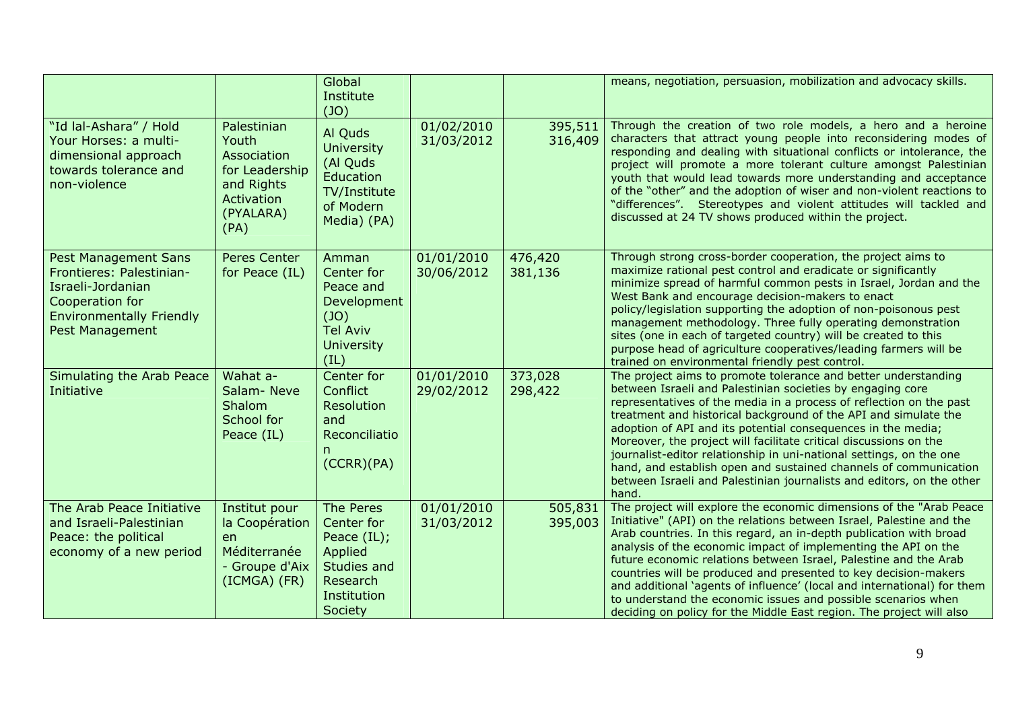|                                                                                                                                                              |                                                                                                        | Global<br>Institute<br>(JO)                                                                             |                          |                    | means, negotiation, persuasion, mobilization and advocacy skills.                                                                                                                                                                                                                                                                                                                                                                                                                                                                                                                                                                              |
|--------------------------------------------------------------------------------------------------------------------------------------------------------------|--------------------------------------------------------------------------------------------------------|---------------------------------------------------------------------------------------------------------|--------------------------|--------------------|------------------------------------------------------------------------------------------------------------------------------------------------------------------------------------------------------------------------------------------------------------------------------------------------------------------------------------------------------------------------------------------------------------------------------------------------------------------------------------------------------------------------------------------------------------------------------------------------------------------------------------------------|
| "Id lal-Ashara" / Hold<br>Your Horses: a multi-<br>dimensional approach<br>towards tolerance and<br>non-violence                                             | Palestinian<br>Youth<br>Association<br>for Leadership<br>and Rights<br>Activation<br>(PYALARA)<br>(PA) | Al Quds<br><b>University</b><br>(Al Quds<br>Education<br>TV/Institute<br>of Modern<br>Media) (PA)       | 01/02/2010<br>31/03/2012 | 395,511<br>316,409 | Through the creation of two role models, a hero and a heroine<br>characters that attract young people into reconsidering modes of<br>responding and dealing with situational conflicts or intolerance, the<br>project will promote a more tolerant culture amongst Palestinian<br>youth that would lead towards more understanding and acceptance<br>of the "other" and the adoption of wiser and non-violent reactions to<br>"differences". Stereotypes and violent attitudes will tackled and<br>discussed at 24 TV shows produced within the project.                                                                                       |
| <b>Pest Management Sans</b><br>Frontieres: Palestinian-<br>Israeli-Jordanian<br>Cooperation for<br><b>Environmentally Friendly</b><br><b>Pest Management</b> | Peres Center<br>for Peace (IL)                                                                         | Amman<br>Center for<br>Peace and<br>Development<br>(JO)<br><b>Tel Aviv</b><br><b>University</b><br>(IL) | 01/01/2010<br>30/06/2012 | 476,420<br>381,136 | Through strong cross-border cooperation, the project aims to<br>maximize rational pest control and eradicate or significantly<br>minimize spread of harmful common pests in Israel, Jordan and the<br>West Bank and encourage decision-makers to enact<br>policy/legislation supporting the adoption of non-poisonous pest<br>management methodology. Three fully operating demonstration<br>sites (one in each of targeted country) will be created to this<br>purpose head of agriculture cooperatives/leading farmers will be<br>trained on environmental friendly pest control.                                                            |
| Simulating the Arab Peace<br>Initiative                                                                                                                      | Wahat a-<br>Salam-Neve<br>Shalom<br>School for<br>Peace (IL)                                           | Center for<br>Conflict<br><b>Resolution</b><br>and<br>Reconciliatio<br>n.<br>(CCRR)(PA)                 | 01/01/2010<br>29/02/2012 | 373,028<br>298,422 | The project aims to promote tolerance and better understanding<br>between Israeli and Palestinian societies by engaging core<br>representatives of the media in a process of reflection on the past<br>treatment and historical background of the API and simulate the<br>adoption of API and its potential consequences in the media;<br>Moreover, the project will facilitate critical discussions on the<br>journalist-editor relationship in uni-national settings, on the one<br>hand, and establish open and sustained channels of communication<br>between Israeli and Palestinian journalists and editors, on the other<br>hand.       |
| The Arab Peace Initiative<br>and Israeli-Palestinian<br>Peace: the political<br>economy of a new period                                                      | Institut pour<br>la Coopération<br>en<br>Méditerranée<br>- Groupe d'Aix<br>(ICMGA) (FR)                | The Peres<br>Center for<br>Peace (IL);<br>Applied<br>Studies and<br>Research<br>Institution<br>Society  | 01/01/2010<br>31/03/2012 | 505,831<br>395,003 | The project will explore the economic dimensions of the "Arab Peace<br>Initiative" (API) on the relations between Israel, Palestine and the<br>Arab countries. In this regard, an in-depth publication with broad<br>analysis of the economic impact of implementing the API on the<br>future economic relations between Israel, Palestine and the Arab<br>countries will be produced and presented to key decision-makers<br>and additional 'agents of influence' (local and international) for them<br>to understand the economic issues and possible scenarios when<br>deciding on policy for the Middle East region. The project will also |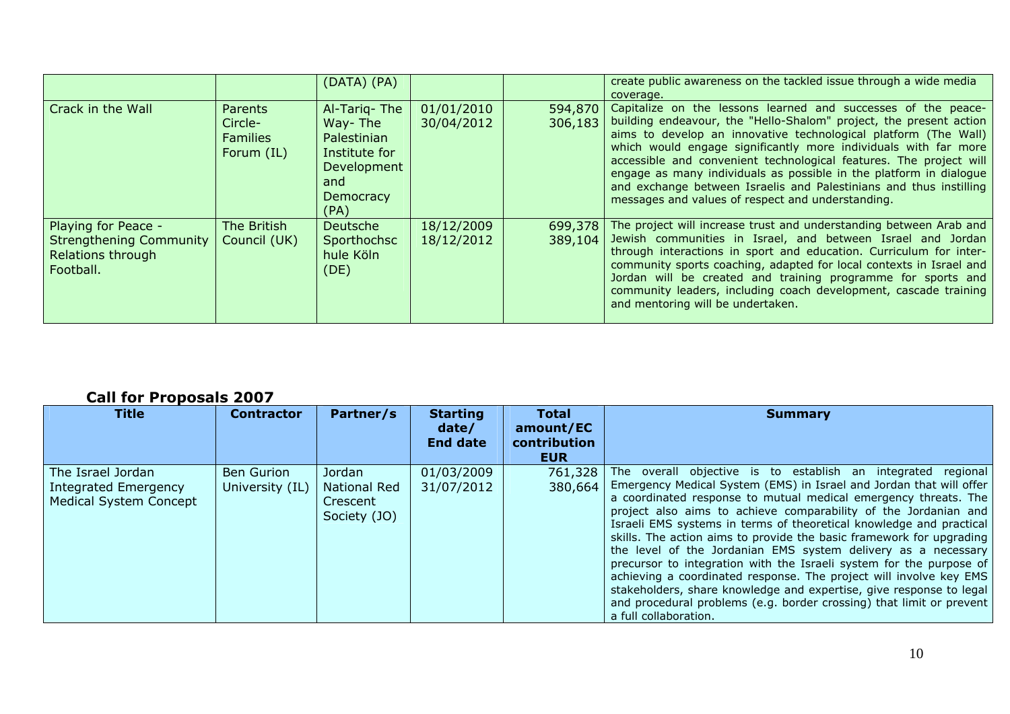|                                                                                         |                                                            | (DATA) (PA)                                                                                               |                          |                    | create public awareness on the tackled issue through a wide media<br>coverage.                                                                                                                                                                                                                                                                                                                                                                                                                                                                   |
|-----------------------------------------------------------------------------------------|------------------------------------------------------------|-----------------------------------------------------------------------------------------------------------|--------------------------|--------------------|--------------------------------------------------------------------------------------------------------------------------------------------------------------------------------------------------------------------------------------------------------------------------------------------------------------------------------------------------------------------------------------------------------------------------------------------------------------------------------------------------------------------------------------------------|
| Crack in the Wall                                                                       | <b>Parents</b><br>Circle-<br><b>Families</b><br>Forum (IL) | Al-Tarig-The<br>Way-The<br>Palestinian<br>Institute for<br>Development<br>and<br><b>Democracy</b><br>(PA) | 01/01/2010<br>30/04/2012 | 594,870<br>306,183 | Capitalize on the lessons learned and successes of the peace-<br>building endeavour, the "Hello-Shalom" project, the present action<br>aims to develop an innovative technological platform (The Wall)<br>which would engage significantly more individuals with far more<br>accessible and convenient technological features. The project will<br>engage as many individuals as possible in the platform in dialogue<br>and exchange between Israelis and Palestinians and thus instilling<br>messages and values of respect and understanding. |
| Playing for Peace -<br><b>Strengthening Community</b><br>Relations through<br>Football. | The British<br>Council (UK)                                | Deutsche<br>Sporthochsc<br>hule Köln<br>(DE)                                                              | 18/12/2009<br>18/12/2012 | 699,378<br>389,104 | The project will increase trust and understanding between Arab and<br>Jewish communities in Israel, and between Israel and Jordan<br>through interactions in sport and education. Curriculum for inter-<br>community sports coaching, adapted for local contexts in Israel and<br>Jordan will be created and training programme for sports and<br>community leaders, including coach development, cascade training<br>and mentoring will be undertaken.                                                                                          |

## **Call for Proposals 2007**

| Title                                                                      | <b>Contractor</b>                    | Partner/s                                                 | <b>Starting</b><br>date/<br><b>End date</b> | Total<br>amount/EC<br>contribution<br><b>EUR</b> | <b>Summary</b>                                                                                                                                                                                                                                                                                                                                                                                                                                                                                                                                                                                                                                                                                                                                                                                                 |
|----------------------------------------------------------------------------|--------------------------------------|-----------------------------------------------------------|---------------------------------------------|--------------------------------------------------|----------------------------------------------------------------------------------------------------------------------------------------------------------------------------------------------------------------------------------------------------------------------------------------------------------------------------------------------------------------------------------------------------------------------------------------------------------------------------------------------------------------------------------------------------------------------------------------------------------------------------------------------------------------------------------------------------------------------------------------------------------------------------------------------------------------|
| The Israel Jordan<br>Integrated Emergency<br><b>Medical System Concept</b> | <b>Ben Gurion</b><br>University (IL) | Jordan<br><b>National Red</b><br>Crescent<br>Society (JO) | 01/03/2009<br>31/07/2012                    | 761,328<br>380,664                               | The overall objective is to establish an integrated regional<br>Emergency Medical System (EMS) in Israel and Jordan that will offer<br>a coordinated response to mutual medical emergency threats. The<br>project also aims to achieve comparability of the Jordanian and<br>Israeli EMS systems in terms of theoretical knowledge and practical<br>skills. The action aims to provide the basic framework for upgrading<br>the level of the Jordanian EMS system delivery as a necessary<br>precursor to integration with the Israeli system for the purpose of<br>achieving a coordinated response. The project will involve key EMS<br>stakeholders, share knowledge and expertise, give response to legal<br>and procedural problems (e.g. border crossing) that limit or prevent<br>a full collaboration. |